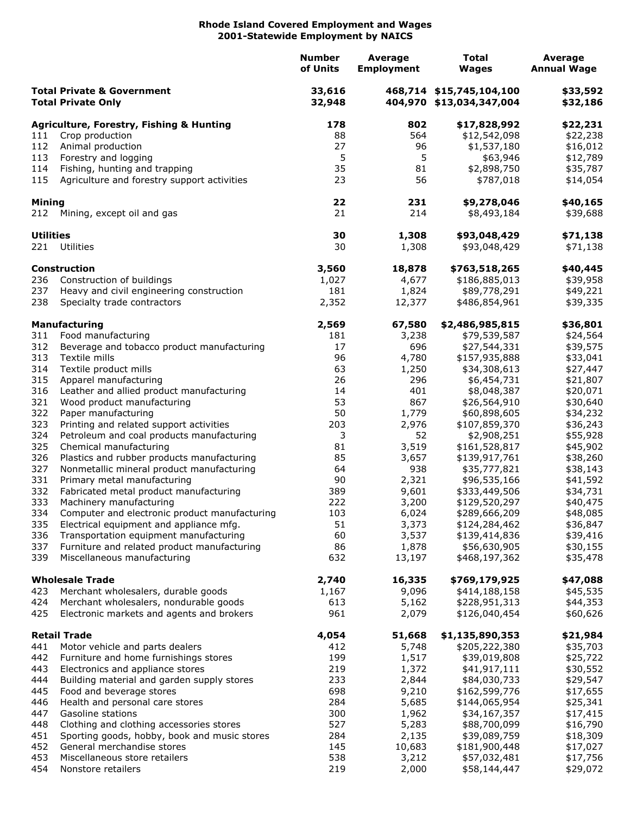## **Rhode Island Covered Employment and Wages 2001-Statewide Employment by NAICS**

|                                                                    |                                                                | <b>Number</b><br>of Units | Average<br><b>Employment</b> | <b>Total</b><br><b>Wages</b>                         | Average<br><b>Annual Wage</b> |
|--------------------------------------------------------------------|----------------------------------------------------------------|---------------------------|------------------------------|------------------------------------------------------|-------------------------------|
| <b>Total Private &amp; Government</b><br><b>Total Private Only</b> |                                                                | 33,616<br>32,948          |                              | 468,714 \$15,745,104,100<br>404,970 \$13,034,347,004 | \$33,592<br>\$32,186          |
|                                                                    | <b>Agriculture, Forestry, Fishing &amp; Hunting</b>            | 178                       | 802                          | \$17,828,992                                         | \$22,231                      |
| 111                                                                | Crop production                                                | 88                        | 564                          | \$12,542,098                                         | \$22,238                      |
| 112                                                                | Animal production                                              | 27                        | 96                           | \$1,537,180                                          | \$16,012                      |
| 113                                                                | Forestry and logging                                           | 5                         | 5                            | \$63,946                                             | \$12,789                      |
| 114                                                                | Fishing, hunting and trapping                                  | 35                        | 81                           | \$2,898,750                                          | \$35,787                      |
| 115                                                                | Agriculture and forestry support activities                    | 23                        | 56                           | \$787,018                                            | \$14,054                      |
| <b>Mining</b>                                                      |                                                                | 22                        | 231                          | \$9,278,046                                          | \$40,165                      |
| 212                                                                | Mining, except oil and gas                                     | 21                        | 214                          | \$8,493,184                                          | \$39,688                      |
| <b>Utilities</b>                                                   |                                                                | 30                        | 1,308                        | \$93,048,429                                         | \$71,138                      |
| 221                                                                | Utilities                                                      | 30                        | 1,308                        | \$93,048,429                                         | \$71,138                      |
|                                                                    | <b>Construction</b>                                            | 3,560                     | 18,878                       | \$763,518,265                                        | \$40,445                      |
| 236                                                                | Construction of buildings                                      | 1,027                     | 4,677                        | \$186,885,013                                        | \$39,958                      |
| 237                                                                | Heavy and civil engineering construction                       | 181                       | 1,824                        | \$89,778,291                                         | \$49,221                      |
| 238                                                                | Specialty trade contractors                                    | 2,352                     | 12,377                       | \$486,854,961                                        | \$39,335                      |
| <b>Manufacturing</b>                                               |                                                                | 2,569                     | 67,580                       | \$2,486,985,815                                      | \$36,801                      |
| 311                                                                | Food manufacturing                                             | 181                       | 3,238                        | \$79,539,587                                         | \$24,564                      |
| 312                                                                | Beverage and tobacco product manufacturing                     | 17                        | 696                          | \$27,544,331                                         | \$39,575                      |
| 313                                                                | Textile mills                                                  | 96                        | 4,780                        | \$157,935,888                                        | \$33,041                      |
| 314                                                                | Textile product mills                                          | 63                        | 1,250                        | \$34,308,613                                         | \$27,447                      |
| 315                                                                | Apparel manufacturing                                          | 26                        | 296                          | \$6,454,731                                          | \$21,807                      |
| 316                                                                | Leather and allied product manufacturing                       | 14                        | 401                          | \$8,048,387                                          | \$20,071                      |
| 321                                                                | Wood product manufacturing                                     | 53                        | 867                          | \$26,564,910                                         | \$30,640                      |
| 322<br>323                                                         | Paper manufacturing<br>Printing and related support activities | 50<br>203                 | 1,779<br>2,976               | \$60,898,605<br>\$107,859,370                        | \$34,232<br>\$36,243          |
| 324                                                                | Petroleum and coal products manufacturing                      | 3                         | 52                           | \$2,908,251                                          | \$55,928                      |
| 325                                                                | Chemical manufacturing                                         | 81                        | 3,519                        | \$161,528,817                                        | \$45,902                      |
| 326                                                                | Plastics and rubber products manufacturing                     | 85                        | 3,657                        | \$139,917,761                                        | \$38,260                      |
| 327                                                                | Nonmetallic mineral product manufacturing                      | 64                        | 938                          | \$35,777,821                                         | \$38,143                      |
| 331                                                                | Primary metal manufacturing                                    | 90                        | 2,321                        | \$96,535,166                                         | \$41,592                      |
| 332                                                                | Fabricated metal product manufacturing                         | 389                       | 9,601                        | \$333,449,506                                        | \$34,731                      |
| 333                                                                | Machinery manufacturing                                        | 222                       | 3,200                        | \$129,520,297                                        | \$40,475                      |
|                                                                    | 334 Computer and electronic product manufacturing              | 103                       | 6,024                        | \$289,666,209                                        | \$48,085                      |
| 335                                                                | Electrical equipment and appliance mfg.                        | 51                        | 3,373                        | \$124,284,462                                        | \$36,847                      |
| 336                                                                | Transportation equipment manufacturing                         | 60                        | 3,537                        | \$139,414,836                                        | \$39,416                      |
| 337                                                                | Furniture and related product manufacturing                    | 86                        | 1,878                        | \$56,630,905                                         | \$30,155                      |
| 339                                                                | Miscellaneous manufacturing                                    | 632                       | 13,197                       | \$468,197,362                                        | \$35,478                      |
|                                                                    | <b>Wholesale Trade</b>                                         | 2,740                     | 16,335                       | \$769,179,925                                        | \$47,088                      |
| 423                                                                | Merchant wholesalers, durable goods                            | 1,167                     | 9,096                        | \$414,188,158                                        | \$45,535                      |
| 424                                                                | Merchant wholesalers, nondurable goods                         | 613                       | 5,162                        | \$228,951,313                                        | \$44,353                      |
| 425                                                                | Electronic markets and agents and brokers                      | 961                       | 2,079                        | \$126,040,454                                        | \$60,626                      |
| <b>Retail Trade</b>                                                |                                                                | 4,054                     | 51,668                       | \$1,135,890,353                                      | \$21,984                      |
| 441                                                                | Motor vehicle and parts dealers                                | 412                       | 5,748                        | \$205,222,380                                        | \$35,703                      |
| 442                                                                | Furniture and home furnishings stores                          | 199                       | 1,517                        | \$39,019,808                                         | \$25,722                      |
| 443                                                                | Electronics and appliance stores                               | 219                       | 1,372                        | \$41,917,111                                         | \$30,552                      |
| 444                                                                | Building material and garden supply stores                     | 233                       | 2,844                        | \$84,030,733                                         | \$29,547                      |
| 445                                                                | Food and beverage stores                                       | 698                       | 9,210                        | \$162,599,776                                        | \$17,655                      |
| 446                                                                | Health and personal care stores                                | 284                       | 5,685                        | \$144,065,954                                        | \$25,341                      |
| 447                                                                | Gasoline stations                                              | 300                       | 1,962                        | \$34,167,357                                         | \$17,415                      |
| 448                                                                | Clothing and clothing accessories stores                       | 527                       | 5,283                        | \$88,700,099                                         | \$16,790                      |
| 451                                                                | Sporting goods, hobby, book and music stores                   | 284                       | 2,135                        | \$39,089,759                                         | \$18,309                      |
| 452                                                                | General merchandise stores                                     | 145                       | 10,683                       | \$181,900,448                                        | \$17,027                      |
| 453                                                                | Miscellaneous store retailers                                  | 538                       | 3,212                        | \$57,032,481                                         | \$17,756                      |
| 454                                                                | Nonstore retailers                                             | 219                       | 2,000                        | \$58,144,447                                         | \$29,072                      |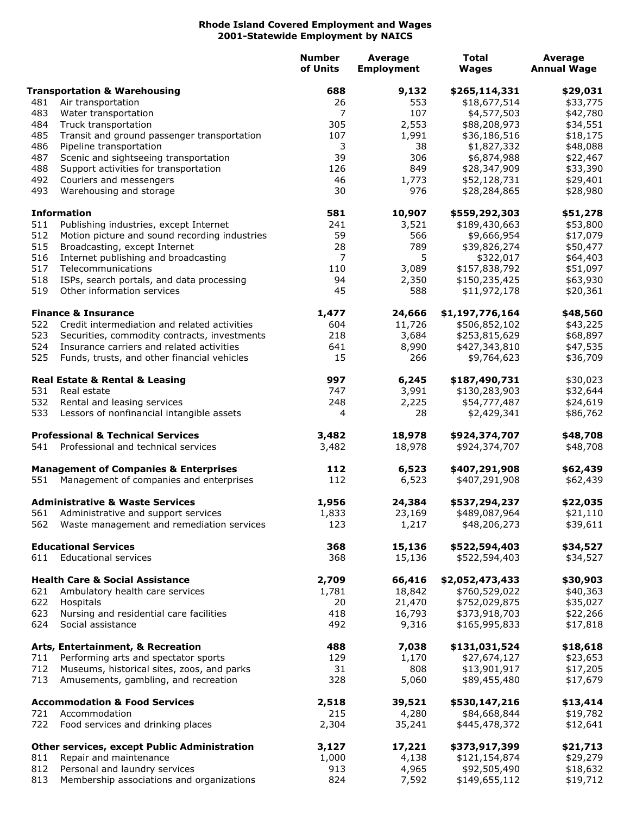## **Rhode Island Covered Employment and Wages 2001-Statewide Employment by NAICS**

|     |                                                     | <b>Number</b><br>of Units | <b>Average</b><br><b>Employment</b> | <b>Total</b><br><b>Wages</b> | Average<br><b>Annual Wage</b> |
|-----|-----------------------------------------------------|---------------------------|-------------------------------------|------------------------------|-------------------------------|
|     | <b>Transportation &amp; Warehousing</b>             | 688                       | 9,132                               | \$265,114,331                | \$29,031                      |
| 481 | Air transportation                                  | 26                        | 553                                 | \$18,677,514                 | \$33,775                      |
| 483 | Water transportation                                | $\overline{7}$            | 107                                 | \$4,577,503                  | \$42,780                      |
| 484 | Truck transportation                                | 305                       | 2,553                               | \$88,208,973                 | \$34,551                      |
| 485 | Transit and ground passenger transportation         | 107                       | 1,991                               | \$36,186,516                 | \$18,175                      |
| 486 | Pipeline transportation                             | 3                         | 38                                  | \$1,827,332                  | \$48,088                      |
| 487 | Scenic and sightseeing transportation               | 39                        | 306                                 | \$6,874,988                  | \$22,467                      |
| 488 | Support activities for transportation               | 126                       | 849                                 | \$28,347,909                 | \$33,390                      |
| 492 | Couriers and messengers                             | 46                        | 1,773                               | \$52,128,731                 | \$29,401                      |
| 493 | Warehousing and storage                             | 30                        | 976                                 | \$28,284,865                 | \$28,980                      |
|     | <b>Information</b>                                  | 581                       | 10,907                              | \$559,292,303                | \$51,278                      |
| 511 | Publishing industries, except Internet              | 241                       | 3,521                               | \$189,430,663                | \$53,800                      |
| 512 | Motion picture and sound recording industries       | 59                        | 566                                 | \$9,666,954                  | \$17,079                      |
| 515 | Broadcasting, except Internet                       | 28                        | 789                                 | \$39,826,274                 | \$50,477                      |
| 516 | Internet publishing and broadcasting                | 7                         | 5                                   | \$322,017                    | \$64,403                      |
| 517 | Telecommunications                                  | 110                       | 3,089                               | \$157,838,792                | \$51,097                      |
| 518 | ISPs, search portals, and data processing           | 94                        | 2,350                               | \$150,235,425                | \$63,930                      |
| 519 | Other information services                          | 45                        | 588                                 | \$11,972,178                 | \$20,361                      |
|     | <b>Finance &amp; Insurance</b>                      | 1,477                     | 24,666                              | \$1,197,776,164              | \$48,560                      |
| 522 | Credit intermediation and related activities        | 604                       | 11,726                              | \$506,852,102                | \$43,225                      |
| 523 | Securities, commodity contracts, investments        | 218                       | 3,684                               | \$253,815,629                | \$68,897                      |
| 524 | Insurance carriers and related activities           | 641                       | 8,990                               | \$427,343,810                | \$47,535                      |
| 525 | Funds, trusts, and other financial vehicles         | 15                        | 266                                 | \$9,764,623                  | \$36,709                      |
|     | <b>Real Estate &amp; Rental &amp; Leasing</b>       | 997                       | 6,245                               | \$187,490,731                | \$30,023                      |
| 531 | Real estate                                         | 747                       | 3,991                               | \$130,283,903                | \$32,644                      |
| 532 | Rental and leasing services                         | 248                       | 2,225                               | \$54,777,487                 | \$24,619                      |
| 533 | Lessors of nonfinancial intangible assets           | 4                         | 28                                  | \$2,429,341                  | \$86,762                      |
|     | <b>Professional &amp; Technical Services</b>        | 3,482                     | 18,978                              | \$924,374,707                | \$48,708                      |
| 541 | Professional and technical services                 | 3,482                     | 18,978                              | \$924,374,707                | \$48,708                      |
|     | <b>Management of Companies &amp; Enterprises</b>    | 112                       | 6,523                               | \$407,291,908                | \$62,439                      |
| 551 | Management of companies and enterprises             | 112                       | 6,523                               | \$407,291,908                | \$62,439                      |
|     | <b>Administrative &amp; Waste Services</b>          | 1,956                     | 24,384                              | \$537,294,237                | \$22,035                      |
|     | 561 Administrative and support services             | 1,833                     | 23,169                              | \$489,087,964                | \$21,110                      |
| 562 | Waste management and remediation services           | 123                       | 1,217                               | \$48,206,273                 | \$39,611                      |
|     | <b>Educational Services</b>                         | 368                       | 15,136                              | \$522,594,403                | \$34,527                      |
| 611 | <b>Educational services</b>                         | 368                       | 15,136                              | \$522,594,403                | \$34,527                      |
|     | <b>Health Care &amp; Social Assistance</b>          | 2,709                     | 66,416                              | \$2,052,473,433              | \$30,903                      |
| 621 | Ambulatory health care services                     | 1,781                     | 18,842                              | \$760,529,022                | \$40,363                      |
| 622 | Hospitals                                           | 20                        | 21,470                              | \$752,029,875                | \$35,027                      |
| 623 | Nursing and residential care facilities             | 418                       | 16,793                              | \$373,918,703                | \$22,266                      |
| 624 | Social assistance                                   | 492                       | 9,316                               | \$165,995,833                | \$17,818                      |
|     | Arts, Entertainment, & Recreation                   | 488                       | 7,038                               | \$131,031,524                | \$18,618                      |
| 711 | Performing arts and spectator sports                | 129                       | 1,170                               | \$27,674,127                 | \$23,653                      |
| 712 | Museums, historical sites, zoos, and parks          | 31                        | 808                                 | \$13,901,917                 | \$17,205                      |
| 713 | Amusements, gambling, and recreation                | 328                       | 5,060                               | \$89,455,480                 | \$17,679                      |
|     | <b>Accommodation &amp; Food Services</b>            | 2,518                     | 39,521                              | \$530,147,216                | \$13,414                      |
| 721 | Accommodation                                       | 215                       | 4,280                               | \$84,668,844                 | \$19,782                      |
| 722 | Food services and drinking places                   | 2,304                     | 35,241                              | \$445,478,372                | \$12,641                      |
|     | <b>Other services, except Public Administration</b> | 3,127                     | 17,221                              | \$373,917,399                | \$21,713                      |
| 811 | Repair and maintenance                              | 1,000                     | 4,138                               | \$121,154,874                | \$29,279                      |
| 812 | Personal and laundry services                       | 913                       | 4,965                               | \$92,505,490                 | \$18,632                      |
| 813 | Membership associations and organizations           | 824                       | 7,592                               | \$149,655,112                | \$19,712                      |